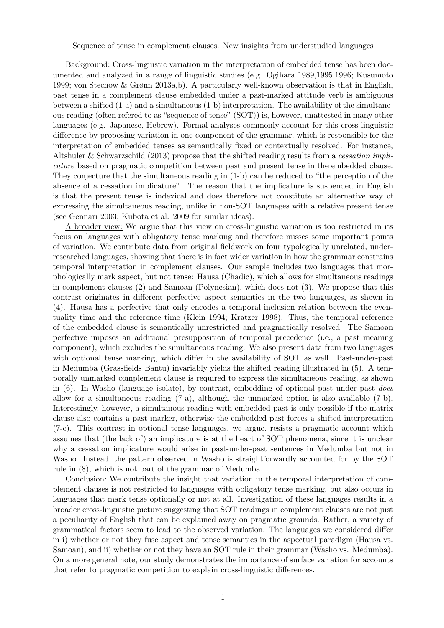Background: Cross-linguistic variation in the interpretation of embedded tense has been documented and analyzed in a range of linguistic studies (e.g. Ogihara 1989,1995,1996; Kusumoto 1999; von Stechow & Grønn 2013a,b). A particularly well-known observation is that in English, past tense in a complement clause embedded under a past-marked attitude verb is ambiguous between a shifted (1-a) and a simultaneous (1-b) interpretation. The availability of the simultaneous reading (often refered to as "sequence of tense" (SOT)) is, however, unattested in many other languages (e.g. Japanese, Hebrew). Formal analyses commonly account for this cross-linguistic difference by proposing variation in one component of the grammar, which is responsible for the interpretation of embedded tenses as semantically fixed or contextually resolved. For instance, Altshuler & Schwarzschild (2013) propose that the shifted reading results from a cessation implicature based on pragmatic competition between past and present tense in the embedded clause. They conjecture that the simultaneous reading in (1-b) can be reduced to "the perception of the absence of a cessation implicature". The reason that the implicature is suspended in English is that the present tense is indexical and does therefore not constitute an alternative way of expressing the simultaneous reading, unlike in non-SOT languages with a relative present tense (see Gennari 2003; Kubota et al. 2009 for similar ideas).

A broader view: We argue that this view on cross-linguistic variation is too restricted in its focus on languages with obligatory tense marking and therefore misses some important points of variation. We contribute data from original fieldwork on four typologically unrelated, underresearched languages, showing that there is in fact wider variation in how the grammar constrains temporal interpretation in complement clauses. Our sample includes two languages that morphologically mark aspect, but not tense: Hausa (Chadic), which allows for simultaneous readings in complement clauses (2) and Samoan (Polynesian), which does not (3). We propose that this contrast originates in different perfective aspect semantics in the two languages, as shown in (4). Hausa has a perfective that only encodes a temporal inclusion relation between the eventuality time and the reference time (Klein 1994; Kratzer 1998). Thus, the temporal reference of the embedded clause is semantically unrestricted and pragmatically resolved. The Samoan perfective imposes an additional presupposition of temporal precedence (i.e., a past meaning component), which excludes the simultaneous reading. We also present data from two languages with optional tense marking, which differ in the availability of SOT as well. Past-under-past in Medumba (Grassfields Bantu) invariably yields the shifted reading illustrated in (5). A temporally unmarked complement clause is required to express the simultaneous reading, as shown in  $(6)$ . In Washo (language isolate), by contrast, embedding of optional past under past *does* allow for a simultaneous reading (7-a), although the unmarked option is also available (7-b). Interestingly, however, a simultanous reading with embedded past is only possible if the matrix clause also contains a past marker, otherwise the embedded past forces a shifted interpretation (7-c). This contrast in optional tense languages, we argue, resists a pragmatic account which assumes that (the lack of) an implicature is at the heart of SOT phenomena, since it is unclear why a cessation implicature would arise in past-under-past sentences in Medumba but not in Washo. Instead, the pattern observed in Washo is straightforwardly accounted for by the SOT rule in (8), which is not part of the grammar of Medumba.

Conclusion: We contribute the insight that variation in the temporal interpretation of complement clauses is not restricted to languages with obligatory tense marking, but also occurs in languages that mark tense optionally or not at all. Investigation of these languages results in a broader cross-linguistic picture suggesting that SOT readings in complement clauses are not just a peculiarity of English that can be explained away on pragmatic grounds. Rather, a variety of grammatical factors seem to lead to the observed variation. The languages we considered differ in i) whether or not they fuse aspect and tense semantics in the aspectual paradigm (Hausa vs. Samoan), and ii) whether or not they have an SOT rule in their grammar (Washo vs. Medumba). On a more general note, our study demonstrates the importance of surface variation for accounts that refer to pragmatic competition to explain cross-linguistic differences.